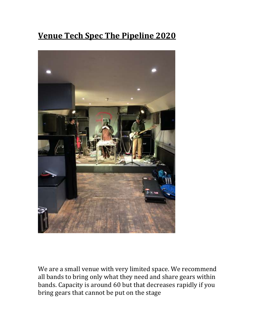# **Venue Tech Spec The Pipeline 2020**



We are a small venue with very limited space. We recommend all bands to bring only what they need and share gears within bands. Capacity is around 60 but that decreases rapidly if you bring gears that cannot be put on the stage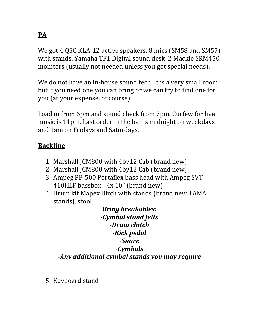We got 4 QSC KLA-12 active speakers, 8 mics (SM58 and SM57) with stands, Yamaha TF1 Digital sound desk, 2 Mackie SRM450 monitors (usually not needed unless you got special needs).

We do not have an in-house sound tech. It is a very small room but if you need one you can bring or we can try to find one for you (at your expense, of course)

Load in from 6pm and sound check from 7pm. Curfew for live music is 11pm. Last order in the bar is midnight on weekdays and 1am on Fridays and Saturdays.

### **Backline**

- 1. Marshall JCM800 with 4by12 Cab (brand new)
- 2. Marshall JCM800 with 4by12 Cab (brand new)
- 3. Ampeg PF-500 Portaflex bass head with Ampeg SVT-410HLF bassbox - 4x 10" (brand new)
- 4. Drum kit Mapex Birch with stands (brand new TAMA stands), stool

*Bring breakables: -Cymbal stand felts -Drum clutch -Kick pedal -Snare -Cymbals -Any additional cymbal stands you may require*

5. Keyboard stand

## **PA**